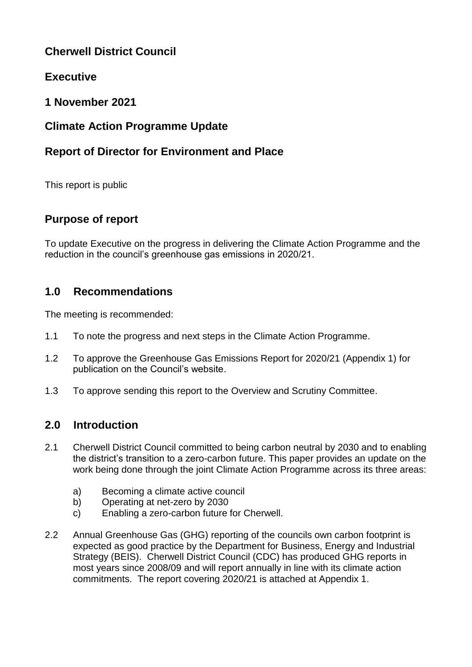# **Cherwell District Council**

# **Executive**

## **1 November 2021**

# **Climate Action Programme Update**

# **Report of Director for Environment and Place**

This report is public

# **Purpose of report**

To update Executive on the progress in delivering the Climate Action Programme and the reduction in the council's greenhouse gas emissions in 2020/21.

## **1.0 Recommendations**

The meeting is recommended:

- 1.1 To note the progress and next steps in the Climate Action Programme.
- 1.2 To approve the Greenhouse Gas Emissions Report for 2020/21 (Appendix 1) for publication on the Council's website.
- 1.3 To approve sending this report to the Overview and Scrutiny Committee.

## **2.0 Introduction**

- 2.1 Cherwell District Council committed to being carbon neutral by 2030 and to enabling the district's transition to a zero-carbon future. This paper provides an update on the work being done through the joint Climate Action Programme across its three areas:
	- a) Becoming a climate active council
	- b) Operating at net-zero by 2030
	- c) Enabling a zero-carbon future for Cherwell.
- 2.2 Annual Greenhouse Gas (GHG) reporting of the councils own carbon footprint is expected as good practice by the Department for Business, Energy and Industrial Strategy (BEIS). Cherwell District Council (CDC) has produced GHG reports in most years since 2008/09 and will report annually in line with its climate action commitments. The report covering 2020/21 is attached at Appendix 1.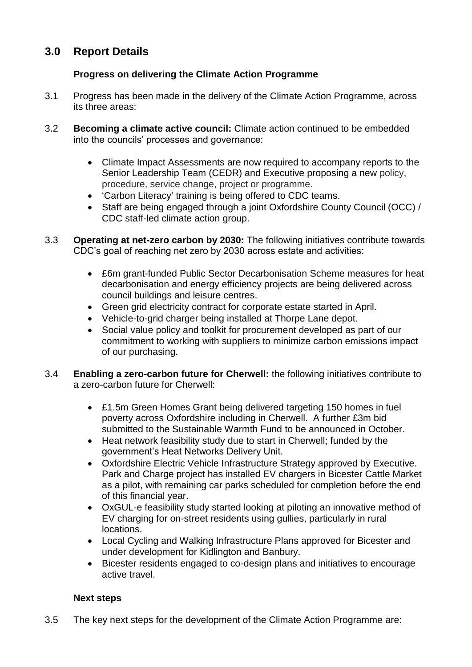# **3.0 Report Details**

### **Progress on delivering the Climate Action Programme**

- 3.1 Progress has been made in the delivery of the Climate Action Programme, across its three areas:
- 3.2 **Becoming a climate active council:** Climate action continued to be embedded into the councils' processes and governance:
	- Climate Impact Assessments are now required to accompany reports to the Senior Leadership Team (CEDR) and Executive proposing a new policy, procedure, service change, project or programme.
	- 'Carbon Literacy' training is being offered to CDC teams.
	- Staff are being engaged through a joint Oxfordshire County Council (OCC) / CDC staff-led climate action group.
- 3.3 **Operating at net-zero carbon by 2030:** The following initiatives contribute towards CDC's goal of reaching net zero by 2030 across estate and activities:
	- £6m grant-funded Public Sector Decarbonisation Scheme measures for heat decarbonisation and energy efficiency projects are being delivered across council buildings and leisure centres.
	- Green grid electricity contract for corporate estate started in April.
	- Vehicle-to-grid charger being installed at Thorpe Lane depot.
	- Social value policy and toolkit for procurement developed as part of our commitment to working with suppliers to minimize carbon emissions impact of our purchasing.
- 3.4 **Enabling a zero-carbon future for Cherwell:** the following initiatives contribute to a zero-carbon future for Cherwell:
	- £1.5m Green Homes Grant being delivered targeting 150 homes in fuel poverty across Oxfordshire including in Cherwell. A further £3m bid submitted to the Sustainable Warmth Fund to be announced in October.
	- Heat network feasibility study due to start in Cherwell; funded by the government's Heat Networks Delivery Unit.
	- Oxfordshire Electric Vehicle Infrastructure Strategy approved by Executive. Park and Charge project has installed EV chargers in Bicester Cattle Market as a pilot, with remaining car parks scheduled for completion before the end of this financial year.
	- OxGUL-e feasibility study started looking at piloting an innovative method of EV charging for on-street residents using gullies, particularly in rural locations.
	- Local Cycling and Walking Infrastructure Plans approved for Bicester and under development for Kidlington and Banbury.
	- Bicester residents engaged to co-design plans and initiatives to encourage active travel.

### **Next steps**

3.5 The key next steps for the development of the Climate Action Programme are: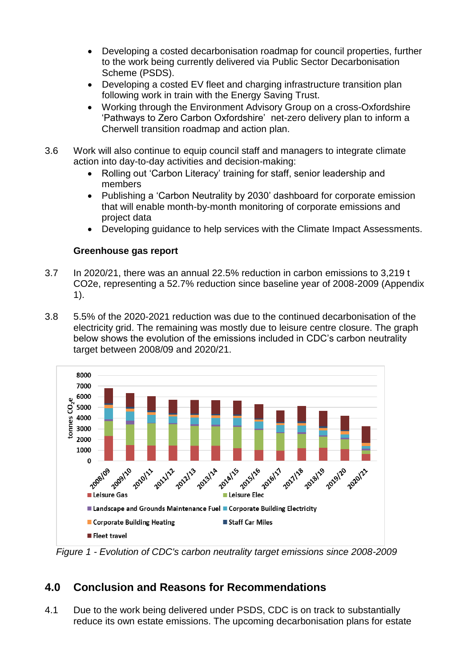- Developing a costed decarbonisation roadmap for council properties, further to the work being currently delivered via Public Sector Decarbonisation Scheme (PSDS).
- Developing a costed EV fleet and charging infrastructure transition plan following work in train with the Energy Saving Trust.
- Working through the Environment Advisory Group on a cross-Oxfordshire 'Pathways to Zero Carbon Oxfordshire' net-zero delivery plan to inform a Cherwell transition roadmap and action plan.
- 3.6 Work will also continue to equip council staff and managers to integrate climate action into day-to-day activities and decision-making:
	- Rolling out 'Carbon Literacy' training for staff, senior leadership and members
	- Publishing a 'Carbon Neutrality by 2030' dashboard for corporate emission that will enable month-by-month monitoring of corporate emissions and project data
	- Developing guidance to help services with the Climate Impact Assessments.

#### **Greenhouse gas report**

- 3.7 In 2020/21, there was an annual 22.5% reduction in carbon emissions to 3,219 t CO2e, representing a 52.7% reduction since baseline year of 2008-2009 (Appendix 1).
- 3.8 5.5% of the 2020-2021 reduction was due to the continued decarbonisation of the electricity grid. The remaining was mostly due to leisure centre closure. The graph below shows the evolution of the emissions included in CDC's carbon neutrality target between 2008/09 and 2020/21.



*Figure 1 - Evolution of CDC's carbon neutrality target emissions since 2008-2009*

# **4.0 Conclusion and Reasons for Recommendations**

4.1 Due to the work being delivered under PSDS, CDC is on track to substantially reduce its own estate emissions. The upcoming decarbonisation plans for estate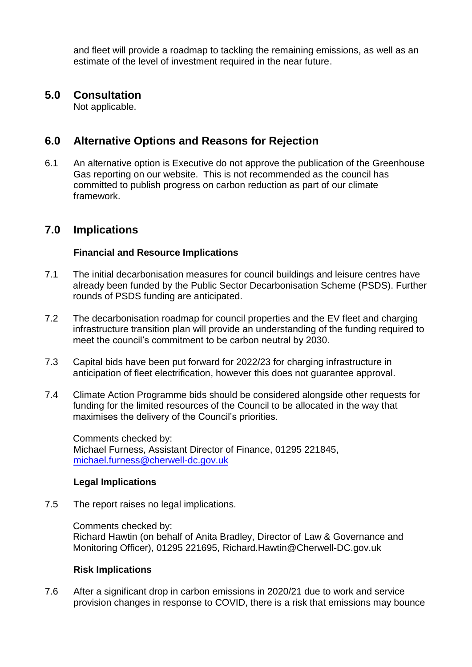and fleet will provide a roadmap to tackling the remaining emissions, as well as an estimate of the level of investment required in the near future.

### **5.0 Consultation**

Not applicable.

### **6.0 Alternative Options and Reasons for Rejection**

6.1 An alternative option is Executive do not approve the publication of the Greenhouse Gas reporting on our website. This is not recommended as the council has committed to publish progress on carbon reduction as part of our climate framework.

## **7.0 Implications**

### **Financial and Resource Implications**

- 7.1 The initial decarbonisation measures for council buildings and leisure centres have already been funded by the Public Sector Decarbonisation Scheme (PSDS). Further rounds of PSDS funding are anticipated.
- 7.2 The decarbonisation roadmap for council properties and the EV fleet and charging infrastructure transition plan will provide an understanding of the funding required to meet the council's commitment to be carbon neutral by 2030.
- 7.3 Capital bids have been put forward for 2022/23 for charging infrastructure in anticipation of fleet electrification, however this does not guarantee approval.
- 7.4 Climate Action Programme bids should be considered alongside other requests for funding for the limited resources of the Council to be allocated in the way that maximises the delivery of the Council's priorities.

Comments checked by: Michael Furness, Assistant Director of Finance, 01295 221845, [michael.furness@cherwell-dc.gov.uk](mailto:michael.furness@cherwell-dc.gov.uk)

### **Legal Implications**

7.5 The report raises no legal implications.

Comments checked by: Richard Hawtin (on behalf of Anita Bradley, Director of Law & Governance and Monitoring Officer), 01295 221695, [Richard.Hawtin@Cherwell-DC.gov.uk](mailto:Richard.Hawtin@Cherwell-DC.gov.uk)

#### **Risk Implications**

7.6 After a significant drop in carbon emissions in 2020/21 due to work and service provision changes in response to COVID, there is a risk that emissions may bounce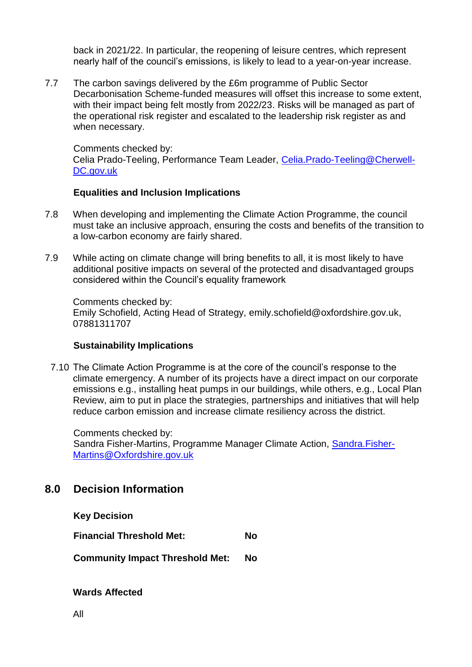back in 2021/22. In particular, the reopening of leisure centres, which represent nearly half of the council's emissions, is likely to lead to a year-on-year increase.

7.7 The carbon savings delivered by the £6m programme of Public Sector Decarbonisation Scheme-funded measures will offset this increase to some extent, with their impact being felt mostly from 2022/23. Risks will be managed as part of the operational risk register and escalated to the leadership risk register as and when necessary.

Comments checked by: Celia Prado-Teeling, Performance Team Leader, [Celia.Prado-Teeling@Cherwell-](mailto:Celia.Prado-Teeling@Cherwell-DC.gov.uk)[DC.gov.uk](mailto:Celia.Prado-Teeling@Cherwell-DC.gov.uk)

#### **Equalities and Inclusion Implications**

- 7.8 When developing and implementing the Climate Action Programme, the council must take an inclusive approach, ensuring the costs and benefits of the transition to a low-carbon economy are fairly shared.
- 7.9 While acting on climate change will bring benefits to all, it is most likely to have additional positive impacts on several of the protected and disadvantaged groups considered within the Council's equality framework

Comments checked by: Emily Schofield, Acting Head of Strategy, [emily.schofield@oxfordshire.gov.uk,](mailto:emily.schofield@oxfordshire.gov.uk) 07881311707

#### **Sustainability Implications**

7.10 The Climate Action Programme is at the core of the council's response to the climate emergency. A number of its projects have a direct impact on our corporate emissions e.g., installing heat pumps in our buildings, while others, e.g., Local Plan Review, aim to put in place the strategies, partnerships and initiatives that will help reduce carbon emission and increase climate resiliency across the district.

Comments checked by: Sandra Fisher-Martins, Programme Manager Climate Action, [Sandra.Fisher-](mailto:Sandra.Fisher-Martins@Oxfordshire.gov.uk)[Martins@Oxfordshire.gov.uk](mailto:Sandra.Fisher-Martins@Oxfordshire.gov.uk)

## **8.0 Decision Information**

**Key Decision**

**Financial Threshold Met: No**

**Community Impact Threshold Met: No**

**Wards Affected**

All